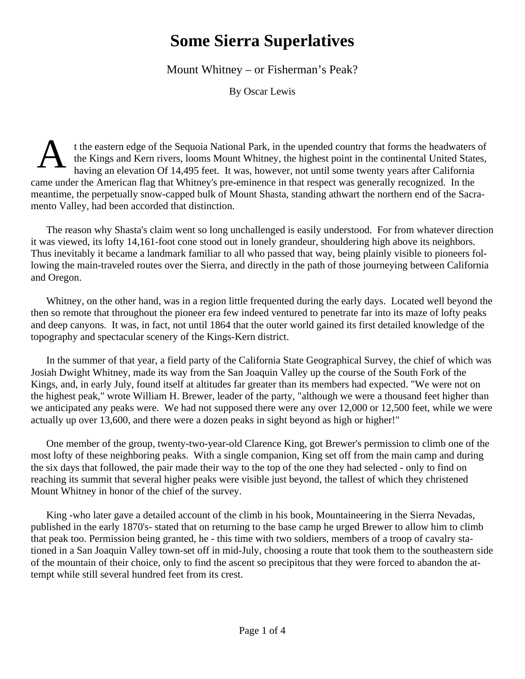## **Some Sierra Superlatives**

Mount Whitney – or Fisherman's Peak?

By Oscar Lewis

A t the eastern edge of the Sequoia National Park, in the upended country that forms the headwaters of the Kings and Kern rivers, looms Mount Whitney, the highest point in the continental United States, having an elevation Of 14,495 feet. It was, however, not until some twenty years after California came under the American flag that Whitney's pre-eminence in that respect was generally recognized. In the meantime, the perpetually snow-capped bulk of Mount Shasta, standing athwart the northern end of the Sacramento Valley, had been accorded that distinction.

The reason why Shasta's claim went so long unchallenged is easily understood. For from whatever direction it was viewed, its lofty 14,161-foot cone stood out in lonely grandeur, shouldering high above its neighbors. Thus inevitably it became a landmark familiar to all who passed that way, being plainly visible to pioneers following the main-traveled routes over the Sierra, and directly in the path of those journeying between California and Oregon.

Whitney, on the other hand, was in a region little frequented during the early days. Located well beyond the then so remote that throughout the pioneer era few indeed ventured to penetrate far into its maze of lofty peaks and deep canyons. It was, in fact, not until 1864 that the outer world gained its first detailed knowledge of the topography and spectacular scenery of the Kings-Kern district.

In the summer of that year, a field party of the California State Geographical Survey, the chief of which was Josiah Dwight Whitney, made its way from the San Joaquin Valley up the course of the South Fork of the Kings, and, in early July, found itself at altitudes far greater than its members had expected. "We were not on the highest peak," wrote William H. Brewer, leader of the party, "although we were a thousand feet higher than we anticipated any peaks were. We had not supposed there were any over 12,000 or 12,500 feet, while we were actually up over 13,600, and there were a dozen peaks in sight beyond as high or higher!"

One member of the group, twenty-two-year-old Clarence King, got Brewer's permission to climb one of the most lofty of these neighboring peaks. With a single companion, King set off from the main camp and during the six days that followed, the pair made their way to the top of the one they had selected - only to find on reaching its summit that several higher peaks were visible just beyond, the tallest of which they christened Mount Whitney in honor of the chief of the survey.

King -who later gave a detailed account of the climb in his book, Mountaineering in the Sierra Nevadas, published in the early 1870's- stated that on returning to the base camp he urged Brewer to allow him to climb that peak too. Permission being granted, he - this time with two soldiers, members of a troop of cavalry stationed in a San Joaquin Valley town-set off in mid-July, choosing a route that took them to the southeastern side of the mountain of their choice, only to find the ascent so precipitous that they were forced to abandon the attempt while still several hundred feet from its crest.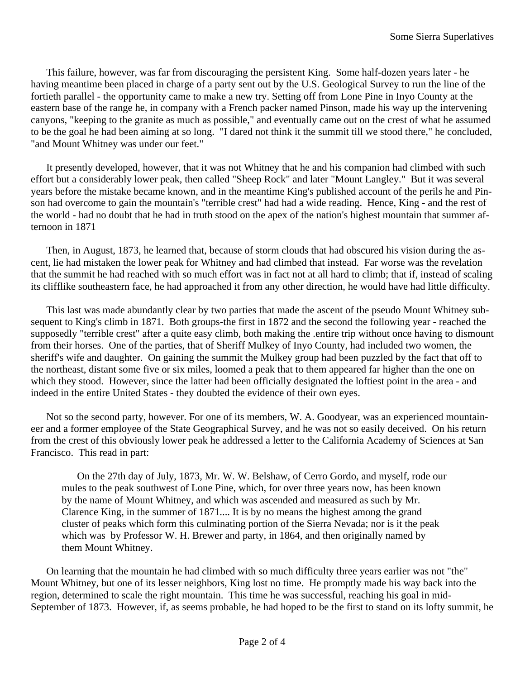This failure, however, was far from discouraging the persistent King. Some half-dozen years later - he having meantime been placed in charge of a party sent out by the U.S. Geological Survey to run the line of the fortieth parallel - the opportunity came to make a new try. Setting off from Lone Pine in Inyo County at the eastern base of the range he, in company with a French packer named Pinson, made his way up the intervening canyons, "keeping to the granite as much as possible," and eventually came out on the crest of what he assumed to be the goal he had been aiming at so long. "I dared not think it the summit till we stood there," he concluded, "and Mount Whitney was under our feet."

It presently developed, however, that it was not Whitney that he and his companion had climbed with such effort but a considerably lower peak, then called "Sheep Rock" and later "Mount Langley." But it was several years before the mistake became known, and in the meantime King's published account of the perils he and Pinson had overcome to gain the mountain's "terrible crest" had had a wide reading. Hence, King - and the rest of the world - had no doubt that he had in truth stood on the apex of the nation's highest mountain that summer afternoon in 1871

Then, in August, 1873, he learned that, because of storm clouds that had obscured his vision during the ascent, lie had mistaken the lower peak for Whitney and had climbed that instead. Far worse was the revelation that the summit he had reached with so much effort was in fact not at all hard to climb; that if, instead of scaling its clifflike southeastern face, he had approached it from any other direction, he would have had little difficulty.

This last was made abundantly clear by two parties that made the ascent of the pseudo Mount Whitney subsequent to King's climb in 1871. Both groups-the first in 1872 and the second the following year - reached the supposedly "terrible crest" after a quite easy climb, both making the .entire trip without once having to dismount from their horses. One of the parties, that of Sheriff Mulkey of Inyo County, had included two women, the sheriff's wife and daughter. On gaining the summit the Mulkey group had been puzzled by the fact that off to the northeast, distant some five or six miles, loomed a peak that to them appeared far higher than the one on which they stood. However, since the latter had been officially designated the loftiest point in the area - and indeed in the entire United States - they doubted the evidence of their own eyes.

Not so the second party, however. For one of its members, W. A. Goodyear, was an experienced mountaineer and a former employee of the State Geographical Survey, and he was not so easily deceived. On his return from the crest of this obviously lower peak he addressed a letter to the California Academy of Sciences at San Francisco. This read in part:

On the 27th day of July, 1873, Mr. W. W. Belshaw, of Cerro Gordo, and myself, rode our mules to the peak southwest of Lone Pine, which, for over three years now, has been known by the name of Mount Whitney, and which was ascended and measured as such by Mr. Clarence King, in the summer of 1871.... It is by no means the highest among the grand cluster of peaks which form this culminating portion of the Sierra Nevada; nor is it the peak which was by Professor W. H. Brewer and party, in 1864, and then originally named by them Mount Whitney.

On learning that the mountain he had climbed with so much difficulty three years earlier was not "the" Mount Whitney, but one of its lesser neighbors, King lost no time. He promptly made his way back into the region, determined to scale the right mountain. This time he was successful, reaching his goal in mid-September of 1873. However, if, as seems probable, he had hoped to be the first to stand on its lofty summit, he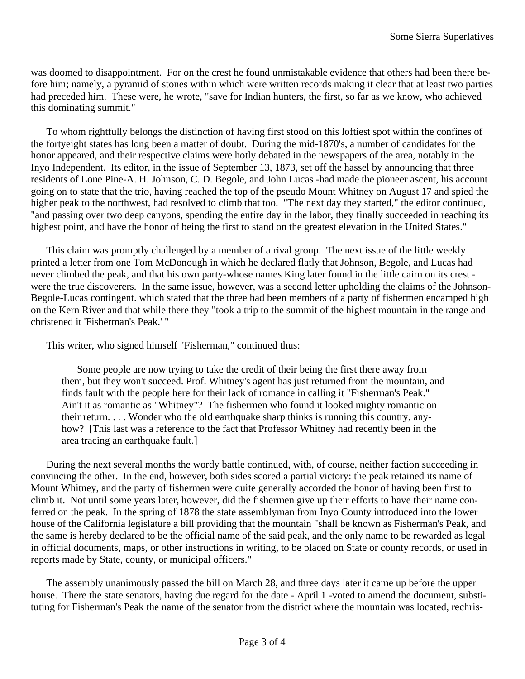was doomed to disappointment. For on the crest he found unmistakable evidence that others had been there before him; namely, a pyramid of stones within which were written records making it clear that at least two parties had preceded him. These were, he wrote, "save for Indian hunters, the first, so far as we know, who achieved this dominating summit."

To whom rightfully belongs the distinction of having first stood on this loftiest spot within the confines of the fortyeight states has long been a matter of doubt. During the mid-1870's, a number of candidates for the honor appeared, and their respective claims were hotly debated in the newspapers of the area, notably in the Inyo Independent. Its editor, in the issue of September 13, 1873, set off the hassel by announcing that three residents of Lone Pine-A. H. Johnson, C. D. Begole, and John Lucas -had made the pioneer ascent, his account going on to state that the trio, having reached the top of the pseudo Mount Whitney on August 17 and spied the higher peak to the northwest, had resolved to climb that too. "The next day they started," the editor continued, "and passing over two deep canyons, spending the entire day in the labor, they finally succeeded in reaching its highest point, and have the honor of being the first to stand on the greatest elevation in the United States."

This claim was promptly challenged by a member of a rival group. The next issue of the little weekly printed a letter from one Tom McDonough in which he declared flatly that Johnson, Begole, and Lucas had never climbed the peak, and that his own party-whose names King later found in the little cairn on its crest were the true discoverers. In the same issue, however, was a second letter upholding the claims of the Johnson-Begole-Lucas contingent. which stated that the three had been members of a party of fishermen encamped high on the Kern River and that while there they "took a trip to the summit of the highest mountain in the range and christened it 'Fisherman's Peak.' "

This writer, who signed himself "Fisherman," continued thus:

Some people are now trying to take the credit of their being the first there away from them, but they won't succeed. Prof. Whitney's agent has just returned from the mountain, and finds fault with the people here for their lack of romance in calling it "Fisherman's Peak." Ain't it as romantic as "Whitney"? The fishermen who found it looked mighty romantic on their return. . . . Wonder who the old earthquake sharp thinks is running this country, anyhow? [This last was a reference to the fact that Professor Whitney had recently been in the area tracing an earthquake fault.]

During the next several months the wordy battle continued, with, of course, neither faction succeeding in convincing the other. In the end, however, both sides scored a partial victory: the peak retained its name of Mount Whitney, and the party of fishermen were quite generally accorded the honor of having been first to climb it. Not until some years later, however, did the fishermen give up their efforts to have their name conferred on the peak. In the spring of 1878 the state assemblyman from Inyo County introduced into the lower house of the California legislature a bill providing that the mountain "shall be known as Fisherman's Peak, and the same is hereby declared to be the official name of the said peak, and the only name to be rewarded as legal in official documents, maps, or other instructions in writing, to be placed on State or county records, or used in reports made by State, county, or municipal officers."

The assembly unanimously passed the bill on March 28, and three days later it came up before the upper house. There the state senators, having due regard for the date - April 1 -voted to amend the document, substituting for Fisherman's Peak the name of the senator from the district where the mountain was located, rechris